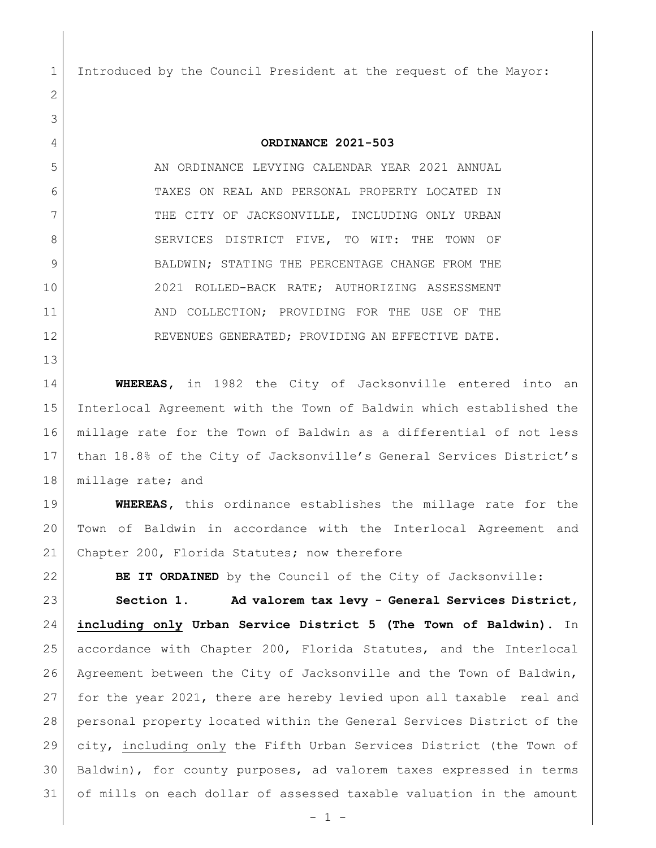Introduced by the Council President at the request of the Mayor:

**ORDINANCE 2021-503**

 AN ORDINANCE LEVYING CALENDAR YEAR 2021 ANNUAL TAXES ON REAL AND PERSONAL PROPERTY LOCATED IN 7 THE CITY OF JACKSONVILLE, INCLUDING ONLY URBAN 8 SERVICES DISTRICT FIVE, TO WIT: THE TOWN OF 9 BALDWIN; STATING THE PERCENTAGE CHANGE FROM THE 2021 ROLLED-BACK RATE; AUTHORIZING ASSESSMENT 11 AND COLLECTION; PROVIDING FOR THE USE OF THE 12 REVENUES GENERATED; PROVIDING AN EFFECTIVE DATE.

 **WHEREAS,** in 1982 the City of Jacksonville entered into an Interlocal Agreement with the Town of Baldwin which established the millage rate for the Town of Baldwin as a differential of not less than 18.8% of the City of Jacksonville's General Services District's 18 | millage rate; and

 **WHEREAS,** this ordinance establishes the millage rate for the Town of Baldwin in accordance with the Interlocal Agreement and 21 Chapter 200, Florida Statutes; now therefore

**BE IT ORDAINED** by the Council of the City of Jacksonville:

 **Section 1. Ad valorem tax levy - General Services District, including only Urban Service District 5 (The Town of Baldwin).** In accordance with Chapter 200, Florida Statutes, and the Interlocal Agreement between the City of Jacksonville and the Town of Baldwin, for the year 2021, there are hereby levied upon all taxable real and personal property located within the General Services District of the city, including only the Fifth Urban Services District (the Town of Baldwin), for county purposes, ad valorem taxes expressed in terms of mills on each dollar of assessed taxable valuation in the amount